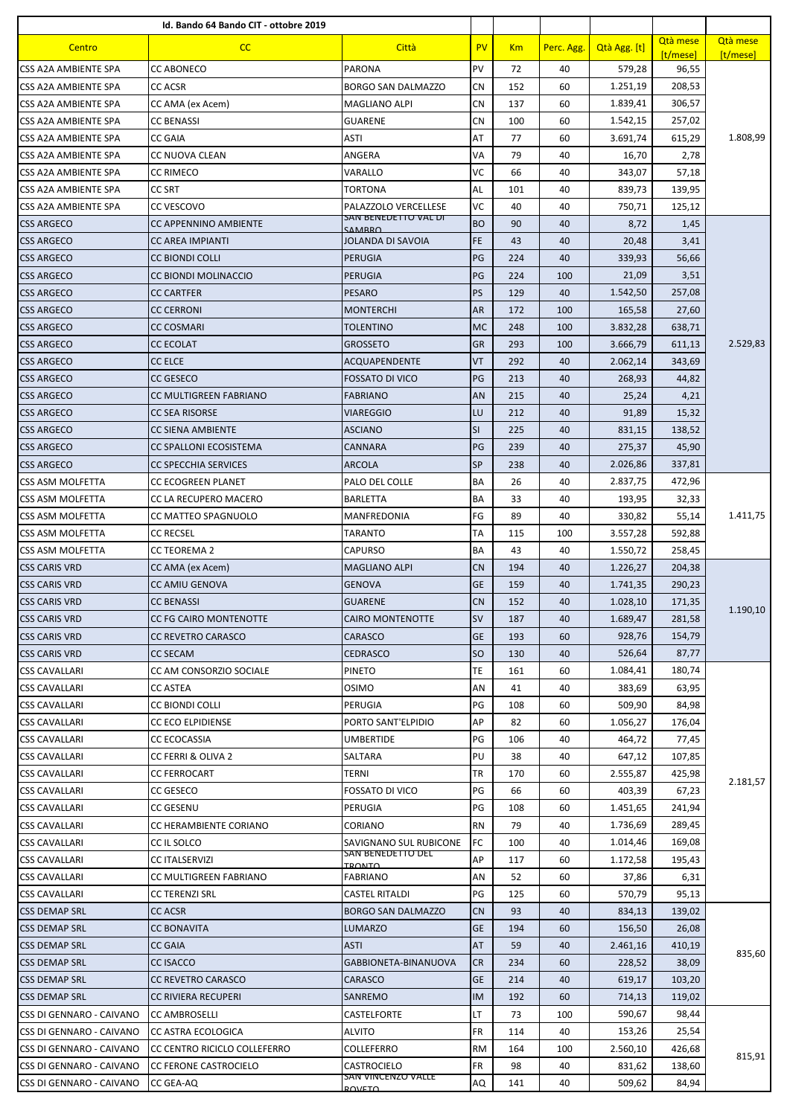|                                              | Id. Bando 64 Bando CIT - ottobre 2019                |                                       |           |           |            |                    |                   |          |
|----------------------------------------------|------------------------------------------------------|---------------------------------------|-----------|-----------|------------|--------------------|-------------------|----------|
| Centro                                       | CC                                                   | Città                                 | <b>PV</b> | Km        | Perc. Agg. | Qtà Agg. [t]       | Otà mese          | Qtà mese |
| CSS A2A AMBIENTE SPA                         | <b>CC ABONECO</b>                                    | <b>PARONA</b>                         | PV        | 72        | 40         | 579,28             | [t/mese]<br>96,55 | [t/mese] |
| CSS A2A AMBIENTE SPA                         | <b>CC ACSR</b>                                       | <b>BORGO SAN DALMAZZO</b>             | CN        | 152       | 60         | 1.251,19           | 208,53            |          |
| CSS A2A AMBIENTE SPA                         | CC AMA (ex Acem)                                     | MAGLIANO ALPI                         | CN        | 137       | 60         | 1.839,41           | 306,57            |          |
| CSS A2A AMBIENTE SPA                         | <b>CC BENASSI</b>                                    | <b>GUARENE</b>                        | CN        | 100       | 60         | 1.542,15           | 257,02            |          |
| CSS A2A AMBIENTE SPA                         | <b>CC GAIA</b>                                       | ASTI                                  | AT        | 77        | 60         | 3.691,74           | 615,29            | 1.808,99 |
| <b>CSS A2A AMBIENTE SPA</b>                  | CC NUOVA CLEAN                                       | ANGERA                                | VA        | 79        | 40         | 16,70              | 2,78              |          |
| CSS A2A AMBIENTE SPA                         | <b>CC RIMECO</b>                                     | VARALLO                               | VC        | 66        | 40         | 343,07             | 57,18             |          |
| CSS A2A AMBIENTE SPA                         | <b>CC SRT</b>                                        | <b>TORTONA</b>                        | AL        | 101       | 40         | 839,73             | 139,95            |          |
| CSS A2A AMBIENTE SPA                         | CC VESCOVO                                           | PALAZZOLO VERCELLESE                  | VC        | 40        | 40         | 750,71             | 125,12            |          |
| <b>CSS ARGECO</b>                            | CC APPENNINO AMBIENTE                                | SAN BENEDETTO VAL DI<br><b>CAMARO</b> | <b>BO</b> | 90        | 40         | 8,72               | 1,45              |          |
| <b>CSS ARGECO</b>                            | <b>CC AREA IMPIANTI</b>                              | JOLANDA DI SAVOIA                     | FE        | 43        | 40         | 20,48              | 3,41              |          |
| <b>CSS ARGECO</b>                            | <b>CC BIONDI COLLI</b>                               | <b>PERUGIA</b>                        | PG        | 224       | 40         | 339,93             | 56,66             |          |
| <b>CSS ARGECO</b>                            | CC BIONDI MOLINACCIO                                 | <b>PERUGIA</b>                        | PG        | 224       | 100        | 21,09              | 3,51              |          |
| <b>CSS ARGECO</b>                            | <b>CC CARTFER</b>                                    | <b>PESARO</b>                         | PS        | 129       | 40         | 1.542,50           | 257,08            |          |
| <b>CSS ARGECO</b>                            | <b>CC CERRONI</b>                                    | <b>MONTERCHI</b>                      | AR        | 172       | 100        | 165,58             | 27,60             |          |
| <b>CSS ARGECO</b>                            | CC COSMARI                                           | TOLENTINO                             | <b>MC</b> | 248       | 100        | 3.832,28           | 638,71            |          |
| <b>CSS ARGECO</b>                            | <b>CC ECOLAT</b>                                     | <b>GROSSETO</b>                       | <b>GR</b> | 293       | 100        | 3.666,79           | 611,13            | 2.529,83 |
| <b>CSS ARGECO</b>                            | <b>CC ELCE</b>                                       | ACQUAPENDENTE                         | VT        | 292       | 40         | 2.062,14           | 343,69            |          |
| <b>CSS ARGECO</b>                            | <b>CC GESECO</b>                                     | <b>FOSSATO DI VICO</b>                | PG        | 213       | 40         | 268,93             | 44,82             |          |
| <b>CSS ARGECO</b>                            | CC MULTIGREEN FABRIANO                               | FABRIANO                              | AN        | 215       | 40         | 25,24              | 4,21              |          |
| <b>CSS ARGECO</b>                            | <b>CC SEA RISORSE</b>                                | <b>VIAREGGIO</b>                      | LU        | 212       | 40         | 91,89              | 15,32             |          |
| <b>CSS ARGECO</b>                            | CC SIENA AMBIENTE                                    | <b>ASCIANO</b>                        | SI        | 225       | 40         | 831,15             | 138,52            |          |
| <b>CSS ARGECO</b>                            | CC SPALLONI ECOSISTEMA                               | <b>CANNARA</b>                        | PG        | 239       | 40         | 275,37             | 45,90             |          |
| <b>CSS ARGECO</b>                            | <b>CC SPECCHIA SERVICES</b>                          | ARCOLA                                | SP        | 238       | 40         | 2.026,86           | 337,81            |          |
| CSS ASM MOLFETTA                             | CC ECOGREEN PLANET                                   | PALO DEL COLLE                        | ΒA        | 26        | 40         | 2.837,75           | 472,96            |          |
| CSS ASM MOLFETTA                             | CC LA RECUPERO MACERO                                | <b>BARLETTA</b>                       | BA        | 33        | 40         | 193,95             | 32,33             |          |
| CSS ASM MOLFETTA                             | CC MATTEO SPAGNUOLO                                  | MANFREDONIA                           | FG        | 89        | 40         | 330,82             | 55,14             | 1.411,75 |
| CSS ASM MOLFETTA                             | CC RECSEL                                            | TARANTO                               | ТA        | 115       | 100        | 3.557,28           | 592,88            |          |
| CSS ASM MOLFETTA                             | <b>CC TEOREMA 2</b>                                  | CAPURSO                               | BA        | 43        | 40         | 1.550,72           | 258,45            |          |
| <b>CSS CARIS VRD</b>                         | CC AMA (ex Acem)                                     | <b>MAGLIANO ALPI</b>                  | <b>CN</b> | 194       | 40         | 1.226,27           | 204,38            |          |
| <b>CSS CARIS VRD</b>                         | <b>CC AMIU GENOVA</b>                                | <b>GENOVA</b>                         | GE        | 159       | 40         | 1.741,35           | 290,23            |          |
| <b>CSS CARIS VRD</b>                         | <b>CC BENASSI</b>                                    | <b>GUARENE</b>                        | <b>CN</b> | 152       | 40         | 1.028,10           | 171,35            | 1.190,10 |
| <b>CSS CARIS VRD</b>                         | CC FG CAIRO MONTENOTTE                               | CAIRO MONTENOTTE                      | <b>SV</b> | 187       | 40         | 1.689,47           | 281,58            |          |
| <b>CSS CARIS VRD</b>                         | <b>CC REVETRO CARASCO</b>                            | CARASCO                               | GE        | 193       | 60         | 928,76             | 154,79            |          |
| <b>CSS CARIS VRD</b>                         | <b>CC SECAM</b>                                      | CEDRASCO                              | <b>SO</b> | 130       | 40         | 526,64             | 87,77             |          |
| <b>CSS CAVALLARI</b>                         | CC AM CONSORZIO SOCIALE                              | PINETO                                | ΤE        | 161       | 60         | 1.084,41           | 180,74            |          |
| <b>CSS CAVALLARI</b>                         | <b>CC ASTEA</b>                                      | <b>OSIMO</b>                          | AN        | 41        | 40         | 383,69             | 63,95             |          |
| <b>CSS CAVALLARI</b>                         | <b>CC BIONDI COLLI</b>                               | PERUGIA                               | PG        | 108       | 60         | 509,90             | 84,98             |          |
| <b>CSS CAVALLARI</b>                         | <b>CC ECO ELPIDIENSE</b>                             | PORTO SANT'ELPIDIO                    | АP        | 82        | 60         | 1.056,27           | 176,04            |          |
| <b>CSS CAVALLARI</b>                         | CC ECOCASSIA                                         | UMBERTIDE                             | PG        | 106       | 40         | 464,72             | 77,45             | 2.181,57 |
| <b>CSS CAVALLARI</b><br><b>CSS CAVALLARI</b> | <b>CC FERRI &amp; OLIVA 2</b><br><b>CC FERROCART</b> | SALTARA<br>TERNI                      | PU<br>TR  | 38<br>170 | 40<br>60   | 647,12<br>2.555,87 | 107,85<br>425,98  |          |
| <b>CSS CAVALLARI</b>                         | CC GESECO                                            | <b>FOSSATO DI VICO</b>                | PG        | 66        | 60         | 403,39             | 67,23             |          |
| <b>CSS CAVALLARI</b>                         | <b>CC GESENU</b>                                     | PERUGIA                               | PG        | 108       | 60         | 1.451,65           | 241,94            |          |
| <b>CSS CAVALLARI</b>                         | CC HERAMBIENTE CORIANO                               | CORIANO                               | RN        | 79        | 40         | 1.736,69           | 289,45            |          |
| <b>CSS CAVALLARI</b>                         | CC IL SOLCO                                          | SAVIGNANO SUL RUBICONE                | FC        | 100       | 40         | 1.014,46           | 169,08            |          |
| <b>CSS CAVALLARI</b>                         | <b>CC ITALSERVIZI</b>                                | SAN BENEDETTO DEL                     | АP        | 117       | 60         | 1.172,58           | 195,43            |          |
| <b>CSS CAVALLARI</b>                         | CC MULTIGREEN FABRIANO                               | <b>TRONTO</b><br>FABRIANO             | AN        | 52        | 60         | 37,86              | 6,31              |          |
| <b>CSS CAVALLARI</b>                         | <b>CC TERENZI SRL</b>                                | <b>CASTEL RITALDI</b>                 | PG        | 125       | 60         | 570,79             | 95,13             |          |
| <b>CSS DEMAP SRL</b>                         | <b>CC ACSR</b>                                       | <b>BORGO SAN DALMAZZO</b>             | <b>CN</b> | 93        | 40         | 834,13             | 139,02            |          |
| <b>CSS DEMAP SRL</b>                         | <b>CC BONAVITA</b>                                   | LUMARZO                               | GE        | 194       | 60         | 156,50             | 26,08             |          |
| <b>CSS DEMAP SRL</b>                         | <b>CC GAIA</b>                                       | ASTI                                  | AT        | 59        | 40         | 2.461,16           | 410,19            |          |
| <b>CSS DEMAP SRL</b>                         | CC ISACCO                                            | GABBIONETA-BINANUOVA                  | <b>CR</b> | 234       | 60         | 228,52             | 38,09             | 835,60   |
| <b>CSS DEMAP SRL</b>                         | <b>CC REVETRO CARASCO</b>                            | CARASCO                               | <b>GE</b> | 214       | 40         | 619,17             | 103,20            |          |
| <b>CSS DEMAP SRL</b>                         | <b>CC RIVIERA RECUPERI</b>                           | SANREMO                               | IM        | 192       | 60         | 714,13             | 119,02            |          |
| CSS DI GENNARO - CAIVANO                     | <b>CC AMBROSELLI</b>                                 | CASTELFORTE                           | LT        | 73        | 100        | 590,67             | 98,44             |          |
| CSS DI GENNARO - CAIVANO                     | CC ASTRA ECOLOGICA                                   | <b>ALVITO</b>                         | FR        | 114       | 40         | 153,26             | 25,54             | 815,91   |
| CSS DI GENNARO - CAIVANO                     | CC CENTRO RICICLO COLLEFERRO                         | COLLEFERRO                            | RM        | 164       | 100        | 2.560,10           | 426,68            |          |
| CSS DI GENNARO - CAIVANO                     | CC FERONE CASTROCIELO                                | CASTROCIELO                           | FR        | 98        | 40         | 831,62             | 138,60            |          |
| CSS DI GENNARO - CAIVANO                     | CC GEA-AQ                                            | <b>SAN VINCENZO VALLE</b><br>0.01570  | AQ        | 141       | 40         | 509,62             | 84,94             |          |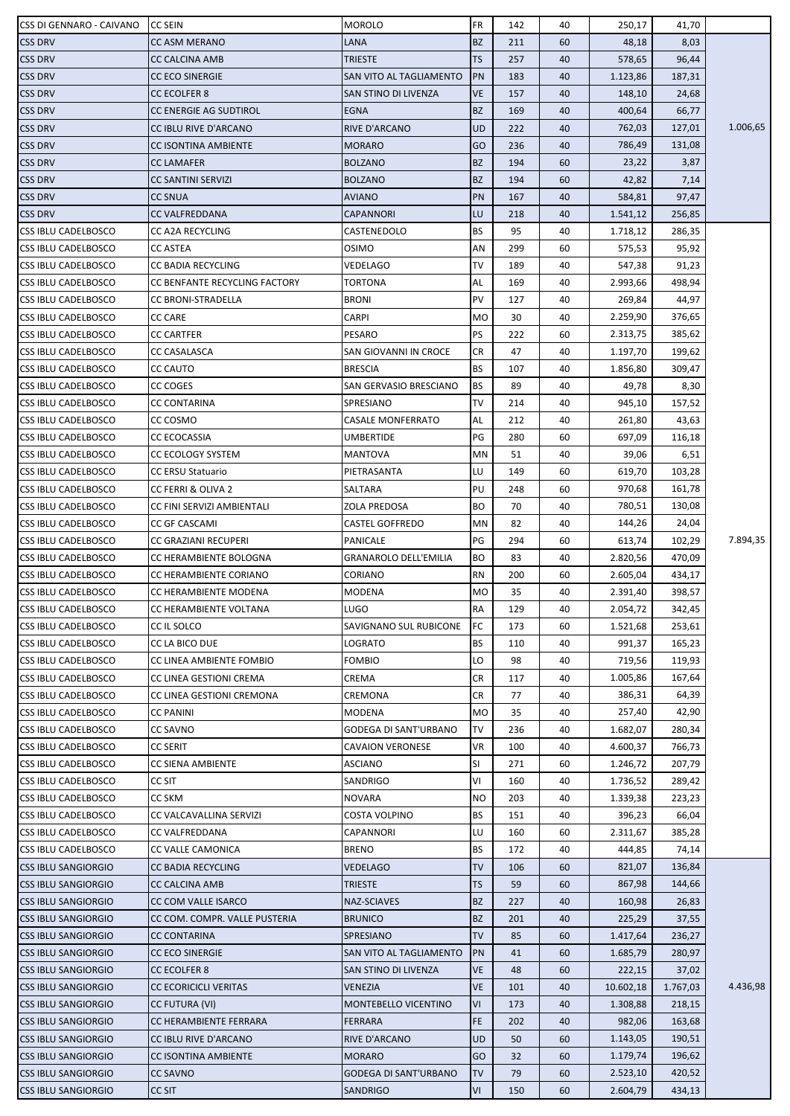| CSS DI GENNARO - CAIVANO   | <b>CC SEIN</b>                | <b>MOROLO</b>                | FR         | 142 | 40 | 250,17    | 41,70    |          |
|----------------------------|-------------------------------|------------------------------|------------|-----|----|-----------|----------|----------|
| <b>CSS DRV</b>             | <b>CC ASM MERANO</b>          | LANA                         | <b>BZ</b>  | 211 | 60 | 48,18     | 8,03     |          |
| <b>CSS DRV</b>             | <b>CC CALCINA AMB</b>         | TRIESTE                      | <b>TS</b>  | 257 | 40 | 578,65    | 96,44    |          |
| <b>CSS DRV</b>             | <b>CC ECO SINERGIE</b>        | SAN VITO AL TAGLIAMENTO      | PN         | 183 | 40 | 1.123,86  | 187,31   |          |
| <b>CSS DRV</b>             | <b>CC ECOLFER 8</b>           | SAN STINO DI LIVENZA         | <b>VE</b>  | 157 | 40 | 148,10    | 24,68    |          |
| <b>CSS DRV</b>             | <b>CC ENERGIE AG SUDTIROL</b> | EGNA                         | <b>BZ</b>  | 169 | 40 | 400,64    | 66,77    |          |
| <b>CSS DRV</b>             | CC IBLU RIVE D'ARCANO         | RIVE D'ARCANO                | <b>UD</b>  | 222 | 40 | 762,03    | 127,01   | 1.006,65 |
| <b>CSS DRV</b>             | <b>CC ISONTINA AMBIENTE</b>   | <b>MORARO</b>                | GO         | 236 | 40 | 786,49    | 131,08   |          |
| <b>CSS DRV</b>             | <b>CC LAMAFER</b>             | <b>BOLZANO</b>               | <b>BZ</b>  | 194 | 60 | 23,22     | 3,87     |          |
| <b>CSS DRV</b>             | <b>CC SANTINI SERVIZI</b>     | <b>BOLZANO</b>               | <b>BZ</b>  | 194 | 60 | 42,82     | 7,14     |          |
| <b>CSS DRV</b>             | <b>CC SNUA</b>                | <b>AVIANO</b>                | PN         | 167 | 40 | 584,81    | 97,47    |          |
| <b>CSS DRV</b>             | <b>CC VALFREDDANA</b>         | CAPANNORI                    | LU         | 218 | 40 | 1.541,12  | 256,85   |          |
| <b>CSS IBLU CADELBOSCO</b> | <b>CC A2A RECYCLING</b>       | CASTENEDOLO                  | BS         | 95  | 40 | 1.718,12  | 286,35   |          |
| <b>CSS IBLU CADELBOSCO</b> | <b>CC ASTEA</b>               | <b>OSIMO</b>                 | AN         | 299 | 60 | 575,53    | 95,92    |          |
| <b>CSS IBLU CADELBOSCO</b> | CC BADIA RECYCLING            | VEDELAGO                     | TV         | 189 | 40 | 547,38    | 91,23    |          |
| <b>CSS IBLU CADELBOSCO</b> | CC BENFANTE RECYCLING FACTORY | TORTONA                      | AL         | 169 | 40 | 2.993,66  | 498,94   |          |
| <b>CSS IBLU CADELBOSCO</b> | <b>CC BRONI-STRADELLA</b>     | <b>BRONI</b>                 | PV         | 127 | 40 | 269,84    | 44,97    |          |
| <b>CSS IBLU CADELBOSCO</b> | <b>CC CARE</b>                | CARPI                        | MO         | 30  | 40 | 2.259,90  | 376,65   |          |
| <b>CSS IBLU CADELBOSCO</b> | <b>CC CARTFER</b>             | PESARO                       | PS         | 222 | 60 | 2.313,75  | 385,62   |          |
| <b>CSS IBLU CADELBOSCO</b> | CC CASALASCA                  | SAN GIOVANNI IN CROCE        | CR         | 47  | 40 | 1.197,70  | 199,62   |          |
| <b>CSS IBLU CADELBOSCO</b> | <b>CC CAUTO</b>               | <b>BRESCIA</b>               | BS         | 107 | 40 | 1.856,80  | 309,47   |          |
| <b>CSS IBLU CADELBOSCO</b> | <b>CC COGES</b>               | SAN GERVASIO BRESCIANO       | BS         | 89  | 40 | 49,78     | 8,30     |          |
| <b>CSS IBLU CADELBOSCO</b> | <b>CC CONTARINA</b>           | SPRESIANO                    | TV         | 214 | 40 | 945,10    | 157,52   |          |
| <b>CSS IBLU CADELBOSCO</b> | CC COSMO                      | <b>CASALE MONFERRATO</b>     | AL         | 212 | 40 | 261,80    | 43,63    |          |
|                            |                               |                              | PG         | 280 | 60 | 697,09    | 116,18   |          |
| <b>CSS IBLU CADELBOSCO</b> | <b>CC ECOCASSIA</b>           | UMBERTIDE                    |            |     |    |           |          |          |
| <b>CSS IBLU CADELBOSCO</b> | CC ECOLOGY SYSTEM             | MANTOVA                      | ΜN         | 51  | 40 | 39,06     | 6,51     |          |
| <b>CSS IBLU CADELBOSCO</b> | <b>CC ERSU Statuario</b>      | PIETRASANTA                  | LU         | 149 | 60 | 619,70    | 103,28   |          |
| <b>CSS IBLU CADELBOSCO</b> | <b>CC FERRI &amp; OLIVA 2</b> | SALTARA                      | PU         | 248 | 60 | 970,68    | 161,78   |          |
| <b>CSS IBLU CADELBOSCO</b> | CC FINI SERVIZI AMBIENTALI    | ZOLA PREDOSA                 | BО         | 70  | 40 | 780,51    | 130,08   |          |
| <b>CSS IBLU CADELBOSCO</b> | CC GF CASCAMI                 | <b>CASTEL GOFFREDO</b>       | MN         | 82  | 40 | 144,26    | 24,04    |          |
| <b>CSS IBLU CADELBOSCO</b> | CC GRAZIANI RECUPERI          | PANICALE                     | PG         | 294 | 60 | 613,74    | 102,29   | 7.894,35 |
| <b>CSS IBLU CADELBOSCO</b> | CC HERAMBIENTE BOLOGNA        | <b>GRANAROLO DELL'EMILIA</b> | BО         | 83  | 40 | 2.820,56  | 470,09   |          |
| <b>CSS IBLU CADELBOSCO</b> | CC HERAMBIENTE CORIANO        | CORIANO                      | RN         | 200 | 60 | 2.605,04  | 434,17   |          |
| <b>CSS IBLU CADELBOSCO</b> | CC HERAMBIENTE MODENA         | MODENA                       | MO         | 35  | 40 | 2.391,40  | 398,57   |          |
| CSS IBLU CADELBOSCO        | CC HERAMBIENTE VOLTANA        | LUGO                         | ${\sf RA}$ | 129 | 40 | 2.054,72  | 342,45   |          |
| CSS IBLU CADELBOSCO        | CC IL SOLCO                   | SAVIGNANO SUL RUBICONE       | FC         | 173 | 60 | 1.521,68  | 253,61   |          |
| <b>CSS IBLU CADELBOSCO</b> | CC LA BICO DUE                | LOGRATO                      | BS         | 110 | 40 | 991,37    | 165,23   |          |
| <b>CSS IBLU CADELBOSCO</b> | CC LINEA AMBIENTE FOMBIO      | FOMBIO                       | LO         | 98  | 40 | 719,56    | 119,93   |          |
| <b>CSS IBLU CADELBOSCO</b> | CC LINEA GESTIONI CREMA       | CREMA                        | CR         | 117 | 40 | 1.005,86  | 167,64   |          |
| <b>CSS IBLU CADELBOSCO</b> | CC LINEA GESTIONI CREMONA     | CREMONA                      | CR         | 77  | 40 | 386,31    | 64,39    |          |
| <b>CSS IBLU CADELBOSCO</b> | <b>CC PANINI</b>              | MODENA                       | МO         | 35  | 40 | 257,40    | 42,90    |          |
| <b>CSS IBLU CADELBOSCO</b> | <b>CC SAVNO</b>               | <b>GODEGA DI SANT'URBANO</b> | TV         | 236 | 40 | 1.682,07  | 280,34   |          |
| CSS IBLU CADELBOSCO        | <b>CC SERIT</b>               | <b>CAVAION VERONESE</b>      | VR         | 100 | 40 | 4.600,37  | 766,73   |          |
| <b>CSS IBLU CADELBOSCO</b> | CC SIENA AMBIENTE             | ASCIANO                      | SI         | 271 | 60 | 1.246,72  | 207,79   |          |
| <b>CSS IBLU CADELBOSCO</b> | CC SIT                        | SANDRIGO                     | ٧I         | 160 | 40 | 1.736,52  | 289,42   |          |
| <b>CSS IBLU CADELBOSCO</b> | <b>CC SKM</b>                 | <b>NOVARA</b>                | ΝO         | 203 | 40 | 1.339,38  | 223,23   |          |
| <b>CSS IBLU CADELBOSCO</b> | CC VALCAVALLINA SERVIZI       | COSTA VOLPINO                | BS         | 151 | 40 | 396,23    | 66,04    |          |
| <b>CSS IBLU CADELBOSCO</b> | CC VALFREDDANA                | CAPANNORI                    | LU         | 160 | 60 | 2.311,67  | 385,28   |          |
| CSS IBLU CADELBOSCO        | CC VALLE CAMONICA             | <b>BRENO</b>                 | BS         | 172 | 40 | 444,85    | 74,14    |          |
| <b>CSS IBLU SANGIORGIO</b> | <b>CC BADIA RECYCLING</b>     | <b>VEDELAGO</b>              | TV         | 106 | 60 | 821,07    | 136,84   |          |
| <b>CSS IBLU SANGIORGIO</b> | <b>CC CALCINA AMB</b>         | TRIESTE                      | <b>TS</b>  | 59  | 60 | 867,98    | 144,66   |          |
| <b>CSS IBLU SANGIORGIO</b> | CC COM VALLE ISARCO           | NAZ-SCIAVES                  | <b>BZ</b>  | 227 | 40 | 160,98    | 26,83    |          |
| <b>CSS IBLU SANGIORGIO</b> | CC COM. COMPR. VALLE PUSTERIA | <b>BRUNICO</b>               | BZ         | 201 | 40 | 225,29    | 37,55    |          |
| <b>CSS IBLU SANGIORGIO</b> | <b>CC CONTARINA</b>           | SPRESIANO                    | TV         | 85  | 60 | 1.417,64  | 236,27   |          |
| <b>CSS IBLU SANGIORGIO</b> | <b>CC ECO SINERGIE</b>        | SAN VITO AL TAGLIAMENTO      | PN         | 41  | 60 | 1.685,79  | 280,97   |          |
| <b>CSS IBLU SANGIORGIO</b> | <b>CC ECOLFER 8</b>           | SAN STINO DI LIVENZA         | VE         | 48  | 60 | 222,15    | 37,02    |          |
| <b>CSS IBLU SANGIORGIO</b> | <b>CC ECORICICLI VERITAS</b>  | VENEZIA                      | <b>VE</b>  | 101 | 40 | 10.602,18 | 1.767,03 | 4.436,98 |
| <b>CSS IBLU SANGIORGIO</b> | <b>CC FUTURA (VI)</b>         | <b>MONTEBELLO VICENTINO</b>  | ٧I         | 173 | 40 | 1.308,88  | 218,15   |          |
| <b>CSS IBLU SANGIORGIO</b> | CC HERAMBIENTE FERRARA        | <b>FERRARA</b>               | FE         | 202 | 40 | 982,06    | 163,68   |          |
| <b>CSS IBLU SANGIORGIO</b> | CC IBLU RIVE D'ARCANO         | RIVE D'ARCANO                | UD         | 50  | 60 | 1.143,05  | 190,51   |          |
| <b>CSS IBLU SANGIORGIO</b> | <b>CC ISONTINA AMBIENTE</b>   | <b>MORARO</b>                | GO         | 32  | 60 | 1.179,74  | 196,62   |          |
| <b>CSS IBLU SANGIORGIO</b> | <b>CC SAVNO</b>               | GODEGA DI SANT'URBANO        | <b>TV</b>  | 79  | 60 | 2.523,10  | 420,52   |          |
| <b>CSS IBLU SANGIORGIO</b> | <b>CC SIT</b>                 | SANDRIGO                     | VI         | 150 | 60 | 2.604,79  | 434,13   |          |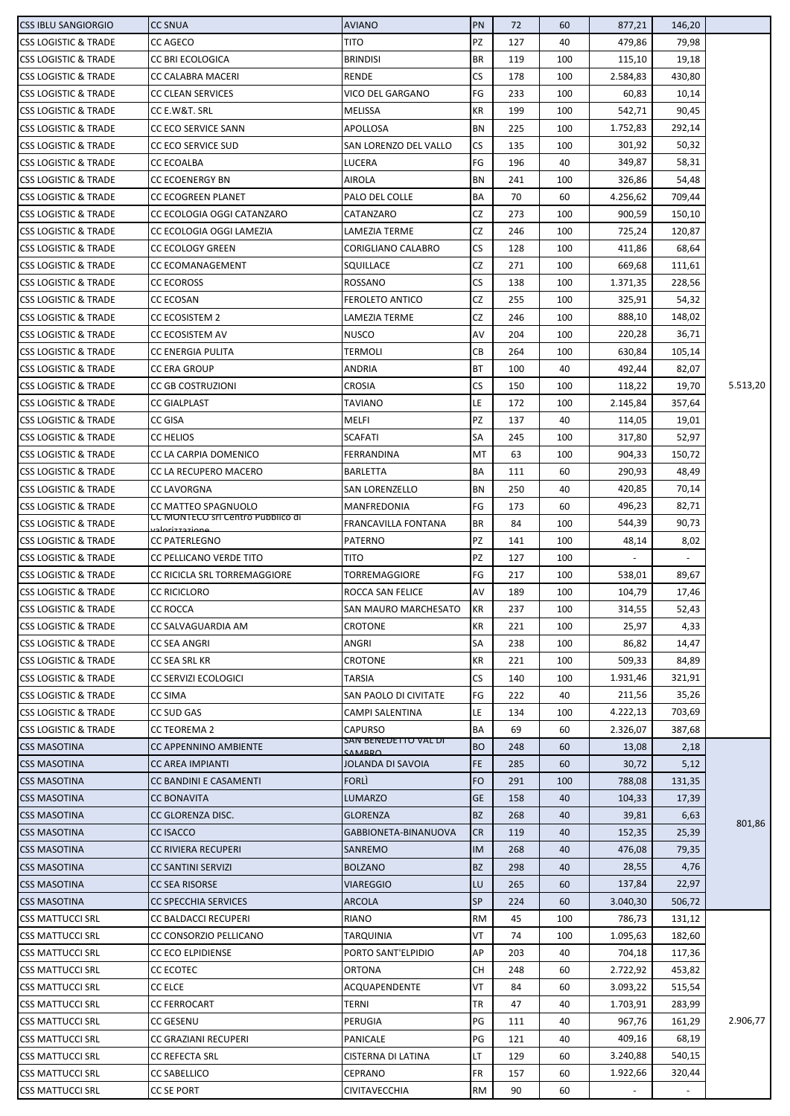| <b>CSS IBLU SANGIORGIO</b>      | <b>CC SNUA</b>                                       | <b>AVIANO</b>                   | PN        | 72  | 60  | 877,21   | 146,20                   |          |
|---------------------------------|------------------------------------------------------|---------------------------------|-----------|-----|-----|----------|--------------------------|----------|
| <b>CSS LOGISTIC &amp; TRADE</b> | <b>CC AGECO</b>                                      | TITO                            | PZ        | 127 | 40  | 479,86   | 79,98                    |          |
| <b>CSS LOGISTIC &amp; TRADE</b> | CC BRI ECOLOGICA                                     | <b>BRINDISI</b>                 | BR        | 119 | 100 | 115,10   | 19,18                    |          |
| <b>CSS LOGISTIC &amp; TRADE</b> | CC CALABRA MACERI                                    | RENDE                           | CS        | 178 | 100 | 2.584,83 | 430,80                   |          |
| <b>CSS LOGISTIC &amp; TRADE</b> |                                                      | VICO DEL GARGANO                | FG        |     | 100 |          |                          |          |
|                                 | <b>CC CLEAN SERVICES</b>                             |                                 |           | 233 |     | 60,83    | 10,14                    |          |
| <b>CSS LOGISTIC &amp; TRADE</b> | CC E.W&T. SRL                                        | MELISSA                         | KR        | 199 | 100 | 542,71   | 90,45                    |          |
| <b>CSS LOGISTIC &amp; TRADE</b> | CC ECO SERVICE SANN                                  | APOLLOSA                        | BN        | 225 | 100 | 1.752,83 | 292,14                   |          |
| <b>CSS LOGISTIC &amp; TRADE</b> | <b>CC ECO SERVICE SUD</b>                            | SAN LORENZO DEL VALLO           | <b>CS</b> | 135 | 100 | 301,92   | 50,32                    |          |
| <b>CSS LOGISTIC &amp; TRADE</b> | <b>CC ECOALBA</b>                                    | LUCERA                          | FG        | 196 | 40  | 349,87   | 58,31                    |          |
| <b>CSS LOGISTIC &amp; TRADE</b> | <b>CC ECOENERGY BN</b>                               | <b>AIROLA</b>                   | BN        | 241 | 100 | 326,86   | 54,48                    |          |
| <b>CSS LOGISTIC &amp; TRADE</b> | <b>CC ECOGREEN PLANET</b>                            | PALO DEL COLLE                  | BA        | 70  | 60  | 4.256,62 | 709,44                   |          |
| <b>CSS LOGISTIC &amp; TRADE</b> | CC ECOLOGIA OGGI CATANZARO                           | CATANZARO                       | CZ        | 273 | 100 | 900,59   | 150,10                   |          |
| <b>CSS LOGISTIC &amp; TRADE</b> | CC ECOLOGIA OGGI LAMEZIA                             | LAMEZIA TERME                   | CZ        | 246 | 100 | 725,24   | 120,87                   |          |
| <b>CSS LOGISTIC &amp; TRADE</b> | <b>CC ECOLOGY GREEN</b>                              | CORIGLIANO CALABRO              | <b>CS</b> | 128 | 100 | 411,86   | 68,64                    |          |
| <b>CSS LOGISTIC &amp; TRADE</b> | CC ECOMANAGEMENT                                     | SQUILLACE                       | CZ        | 271 | 100 | 669,68   | 111,61                   |          |
| <b>CSS LOGISTIC &amp; TRADE</b> | <b>CC ECOROSS</b>                                    | ROSSANO                         | <b>CS</b> | 138 | 100 | 1.371,35 | 228,56                   |          |
| <b>CSS LOGISTIC &amp; TRADE</b> | CC ECOSAN                                            | <b>FEROLETO ANTICO</b>          | CZ        | 255 | 100 | 325,91   | 54,32                    |          |
| <b>CSS LOGISTIC &amp; TRADE</b> | <b>CC ECOSISTEM 2</b>                                | LAMEZIA TERME                   | CZ        | 246 | 100 | 888,10   | 148,02                   |          |
| <b>CSS LOGISTIC &amp; TRADE</b> | CC ECOSISTEM AV                                      | <b>NUSCO</b>                    | AV        | 204 | 100 | 220,28   | 36,71                    |          |
| <b>CSS LOGISTIC &amp; TRADE</b> | <b>CC ENERGIA PULITA</b>                             | TERMOLI                         | СB        | 264 | 100 | 630,84   | 105,14                   |          |
| <b>CSS LOGISTIC &amp; TRADE</b> | <b>CC ERA GROUP</b>                                  | ANDRIA                          | <b>BT</b> | 100 | 40  | 492,44   | 82,07                    |          |
| <b>CSS LOGISTIC &amp; TRADE</b> | <b>CC GB COSTRUZIONI</b>                             | CROSIA                          | <b>CS</b> | 150 | 100 | 118,22   | 19,70                    | 5.513,20 |
|                                 |                                                      |                                 |           |     |     |          |                          |          |
| <b>CSS LOGISTIC &amp; TRADE</b> | <b>CC GIALPLAST</b>                                  | TAVIANO                         | LE        | 172 | 100 | 2.145,84 | 357,64                   |          |
| <b>CSS LOGISTIC &amp; TRADE</b> | <b>CC GISA</b>                                       | MELFI                           | PZ        | 137 | 40  | 114,05   | 19,01                    |          |
| <b>CSS LOGISTIC &amp; TRADE</b> | <b>CC HELIOS</b>                                     | SCAFATI                         | SA        | 245 | 100 | 317,80   | 52,97                    |          |
| <b>CSS LOGISTIC &amp; TRADE</b> | CC LA CARPIA DOMENICO                                | FERRANDINA                      | MT        | 63  | 100 | 904,33   | 150,72                   |          |
| <b>CSS LOGISTIC &amp; TRADE</b> | CC LA RECUPERO MACERO                                | <b>BARLETTA</b>                 | BA        | 111 | 60  | 290,93   | 48,49                    |          |
| <b>CSS LOGISTIC &amp; TRADE</b> | <b>CC LAVORGNA</b>                                   | <b>SAN LORENZELLO</b>           | BN        | 250 | 40  | 420,85   | 70,14                    |          |
| <b>CSS LOGISTIC &amp; TRADE</b> | CC MATTEO SPAGNUOLO                                  | MANFREDONIA                     | FG        | 173 | 60  | 496,23   | 82,71                    |          |
| <b>CSS LOGISTIC &amp; TRADE</b> | CC MONTECO SITCENTIO PUDDIICO GI<br>عممنع دحتنه ملحب | FRANCAVILLA FONTANA             | <b>BR</b> | 84  | 100 | 544,39   | 90,73                    |          |
| <b>CSS LOGISTIC &amp; TRADE</b> | <b>CC PATERLEGNO</b>                                 | PATERNO                         | PZ        | 141 | 100 | 48,14    | 8,02                     |          |
| <b>CSS LOGISTIC &amp; TRADE</b> | CC PELLICANO VERDE TITO                              | TITO                            | PZ        | 127 | 100 |          | $\overline{\phantom{a}}$ |          |
| <b>CSS LOGISTIC &amp; TRADE</b> | CC RICICLA SRL TORREMAGGIORE                         | <b>TORREMAGGIORE</b>            | FG        | 217 | 100 | 538,01   | 89,67                    |          |
| <b>CSS LOGISTIC &amp; TRADE</b> | <b>CC RICICLORO</b>                                  | ROCCA SAN FELICE                | AV        | 189 | 100 | 104,79   | 17,46                    |          |
| <b>CSS LOGISTIC &amp; TRADE</b> | <b>CC ROCCA</b>                                      | SAN MAURO MARCHESATO            | KR        | 237 | 100 | 314,55   | 52,43                    |          |
| <b>CSS LOGISTIC &amp; TRADE</b> | CC SALVAGUARDIA AM                                   | CROTONE                         | KR        | 221 | 100 | 25,97    | 4,33                     |          |
| <b>CSS LOGISTIC &amp; TRADE</b> | CC SEA ANGRI                                         | ANGRI                           | SA        | 238 | 100 | 86,82    | 14,47                    |          |
| <b>CSS LOGISTIC &amp; TRADE</b> | CC SEA SRL KR                                        | CROTONE                         | KR        | 221 | 100 | 509,33   | 84,89                    |          |
|                                 |                                                      |                                 |           |     |     |          |                          |          |
| <b>CSS LOGISTIC &amp; TRADE</b> | <b>CC SERVIZI ECOLOGICI</b>                          | TARSIA                          | <b>CS</b> | 140 | 100 | 1.931,46 | 321,91                   |          |
| <b>CSS LOGISTIC &amp; TRADE</b> | <b>CC SIMA</b>                                       | SAN PAOLO DI CIVITATE           | FG        | 222 | 40  | 211,56   | 35,26                    |          |
| <b>CSS LOGISTIC &amp; TRADE</b> | CC SUD GAS                                           | CAMPI SALENTINA                 | LE        | 134 | 100 | 4.222,13 | 703,69                   |          |
| <b>CSS LOGISTIC &amp; TRADE</b> | <b>CC TEOREMA 2</b>                                  | CAPURSO<br>SAN BENEDETTO VAL DI | BA        | 69  | 60  | 2.326,07 | 387,68                   |          |
| <b>CSS MASOTINA</b>             | CC APPENNINO AMBIENTE                                | <b>CAMARO</b>                   | <b>BO</b> | 248 | 60  | 13,08    | 2,18                     |          |
| <b>CSS MASOTINA</b>             | <b>CC AREA IMPIANTI</b>                              | JOLANDA DI SAVOIA               | <b>FE</b> | 285 | 60  | 30,72    | 5,12                     |          |
| <b>CSS MASOTINA</b>             | <b>CC BANDINI E CASAMENTI</b>                        | <b>FORLI</b>                    | <b>FO</b> | 291 | 100 | 788,08   | 131,35                   |          |
| <b>CSS MASOTINA</b>             | <b>CC BONAVITA</b>                                   | <b>LUMARZO</b>                  | <b>GE</b> | 158 | 40  | 104,33   | 17,39                    |          |
| <b>CSS MASOTINA</b>             | CC GLORENZA DISC.                                    | <b>GLORENZA</b>                 | <b>BZ</b> | 268 | 40  | 39,81    | 6,63                     |          |
| <b>CSS MASOTINA</b>             | <b>CC ISACCO</b>                                     | GABBIONETA-BINANUOVA            | <b>CR</b> | 119 | 40  | 152,35   | 25,39                    | 801,86   |
| <b>CSS MASOTINA</b>             | <b>CC RIVIERA RECUPERI</b>                           | <b>SANREMO</b>                  | IM        | 268 | 40  | 476,08   | 79,35                    |          |
| <b>CSS MASOTINA</b>             | <b>CC SANTINI SERVIZI</b>                            | <b>BOLZANO</b>                  | <b>BZ</b> | 298 | 40  | 28,55    | 4,76                     |          |
| <b>CSS MASOTINA</b>             | <b>CC SEA RISORSE</b>                                | <b>VIAREGGIO</b>                | LU        | 265 | 60  | 137,84   | 22,97                    |          |
| <b>CSS MASOTINA</b>             | <b>CC SPECCHIA SERVICES</b>                          | <b>ARCOLA</b>                   | <b>SP</b> | 224 | 60  | 3.040,30 | 506,72                   |          |
| <b>CSS MATTUCCI SRL</b>         | <b>CC BALDACCI RECUPERI</b>                          | <b>RIANO</b>                    | <b>RM</b> | 45  | 100 | 786,73   | 131,12                   |          |
| <b>CSS MATTUCCI SRL</b>         | CC CONSORZIO PELLICANO                               | TARQUINIA                       | VT        | 74  | 100 | 1.095,63 | 182,60                   |          |
|                                 | <b>CC ECO ELPIDIENSE</b>                             | PORTO SANT'ELPIDIO              | АP        | 203 | 40  | 704,18   | 117,36                   |          |
| <b>CSS MATTUCCI SRL</b>         |                                                      |                                 |           |     |     |          |                          |          |
| <b>CSS MATTUCCI SRL</b>         | <b>CC ECOTEC</b>                                     | ORTONA                          | CН        | 248 | 60  | 2.722,92 | 453,82                   |          |
| <b>CSS MATTUCCI SRL</b>         | <b>CC ELCE</b>                                       | ACQUAPENDENTE                   | VT        | 84  | 60  | 3.093,22 | 515,54                   |          |
| <b>CSS MATTUCCI SRL</b>         | <b>CC FERROCART</b>                                  | TERNI                           | TR        | 47  | 40  | 1.703,91 | 283,99                   |          |
| <b>CSS MATTUCCI SRL</b>         | <b>CC GESENU</b>                                     | <b>PERUGIA</b>                  | PG        | 111 | 40  | 967,76   | 161,29                   | 2.906,77 |
| <b>CSS MATTUCCI SRL</b>         | CC GRAZIANI RECUPERI                                 | PANICALE                        | PG        | 121 | 40  | 409,16   | 68,19                    |          |
| <b>CSS MATTUCCI SRL</b>         | <b>CC REFECTA SRL</b>                                | CISTERNA DI LATINA              | LT        | 129 | 60  | 3.240,88 | 540,15                   |          |
| <b>CSS MATTUCCI SRL</b>         | <b>CC SABELLICO</b>                                  | CEPRANO                         | <b>FR</b> | 157 | 60  | 1.922,66 | 320,44                   |          |
| <b>CSS MATTUCCI SRL</b>         | CC SE PORT                                           | CIVITAVECCHIA                   | <b>RM</b> | 90  | 60  |          |                          |          |